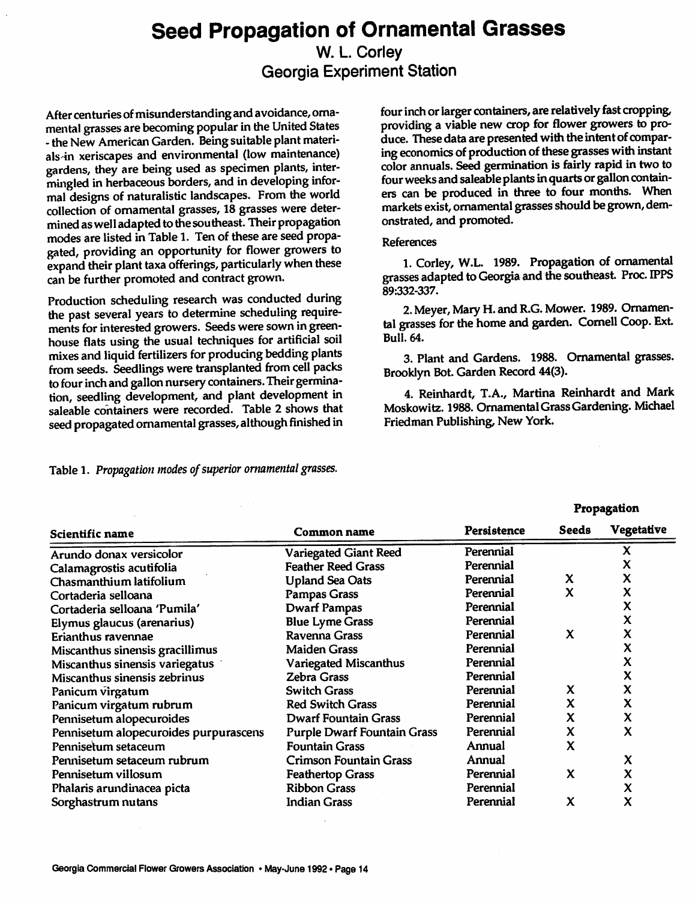## *Seed Propagation of Ornamental Grasses*

#### *W. L. Corley Georgia Experiment Station*

*After centuries ofmisunderstanding and avoidance, orna mental grasses are becoming popularintheUnited States - the New AmericanGarden. Beingsuitableplantmateri als'in xeriscapes and environmental (low maintenance) gardens, they are being used as specimen plants, inter mingled inherbaceous borders, and indeveloping infor mal designs of naturalistic landscapes. From theworld collection of ornamental grasses, 18 grasses were deter minedaswelladapted tothesoutheast. Their propagation modes are listed in Table 1. Ten of these are seed propa gated, providing an opportunity for flower growers to expand their plant taxa offerings, particularly when these can be further promoted and contract grown.*

*Production scheduling research was conducted during the past several years to determine scheduling require ments forinterestedgrowers. Seeds were sown in green house flats using the usual techniques for artificial soil mixes and liquid fertilizers for producing bedding plants from seeds. Seedlings were transplanted from cell packs tofour inch andgallon nursery containers.Their germina tion, seedling development, and plant development in saleable containers were recorded. Table 2 shows that seed propagated ornamental grasses, although finished in*

*four inchorlarger containers, arerelatively fast cropping, providing a viable new crop for flower growers to pro duce. Thesedataarepresentedwith the intentof compar ingeconomics of production of these grasses withinstant colorannuals. Seed germination is fairly rapid in two to fourweeks and saleable plantsin quartsorgalloncontain ers can be produced in three to four months. When marketsexist,ornamental grasses shouldbe grown,dem onstrated, and promoted.*

#### *References*

*1. Corley, W.L. 1989. Propagation of ornamental grasses adapted toGeorgia and thesoutheast. Proc. IPPS 89:332-337.*

*2.Meyer, Mary H.andR.G. Mower. 1989. Ornamen tal grasses for thehomeandgarden. Cornell Coop. Ext Bull. 64.*

*3. Plant and Gardens. 1988. Ornamental grasses. Brooklyn Bot. Garden Record 44(3).* 

*4. Reinhardt, T.A., Martina Reinhardt and Mark Moskowitz. 1988. OrnamentalGrassGardening. Michael Friedman Publishing, New York.*

*Propagation*

*Table 1. Propagation modes ofsuperior ornamental grasses.*

| Scientific name                       | Common name                        | <b>Persistence</b> | Seeds                     | <b>Vegetative</b>         |
|---------------------------------------|------------------------------------|--------------------|---------------------------|---------------------------|
| Arundo donax versicolor               | <b>Variegated Giant Reed</b>       | Perennial          |                           | X                         |
| Calamagrostis acutifolia              | <b>Feather Reed Grass</b>          | Perennial          |                           | X                         |
| Chasmanthium latifolium               | <b>Upland Sea Oats</b>             | Perennial          | X                         | X                         |
| Cortaderia selloana                   | <b>Pampas Grass</b>                | Perennial          | $\boldsymbol{\mathsf{x}}$ | X                         |
| Cortaderia selloana 'Pumila'          | <b>Dwarf Pampas</b>                | Perennial          |                           | X                         |
| Elymus glaucus (arenarius)            | <b>Blue Lyme Grass</b>             | Perennial          |                           | X                         |
| Erianthus ravennae                    | Ravenna Grass                      | Perennial          | X                         | X                         |
| Miscanthus sinensis gracillimus       | <b>Maiden Grass</b>                | Perennial          |                           | x                         |
| Miscanthus sinensis variegatus        | <b>Variegated Miscanthus</b>       | Perennial          |                           | x                         |
| Miscanthus sinensis zebrinus          | Zebra Grass                        | Perennial          |                           | X                         |
| Panicum virgatum                      | <b>Switch Grass</b>                | Perennial          | X                         | X                         |
| Panicum virgatum rubrum               | <b>Red Switch Grass</b>            | Perennial          | $\boldsymbol{\mathsf{x}}$ | X                         |
| Pennisetum alopecuroides              | <b>Dwarf Fountain Grass</b>        | Perennial          | X                         | X                         |
| Pennisetum alopecuroides purpurascens | <b>Purple Dwarf Fountain Grass</b> | Perennial          | X                         | X                         |
| Pennisetum setaceum                   | <b>Fountain Grass</b>              | Annual             | X                         |                           |
| Pennisetum setaceum rubrum            | <b>Crimson Fountain Grass</b>      | Annual             |                           | X                         |
| Pennisetum villosum                   | <b>Feathertop Grass</b>            | Perennial          | X                         | $\boldsymbol{\mathsf{x}}$ |
| Phalaris arundinacea picta            | <b>Ribbon Grass</b>                | Perennial          |                           | X                         |
| Sorghastrum nutans                    | <b>Indian Grass</b>                | Perennial          | X                         | X                         |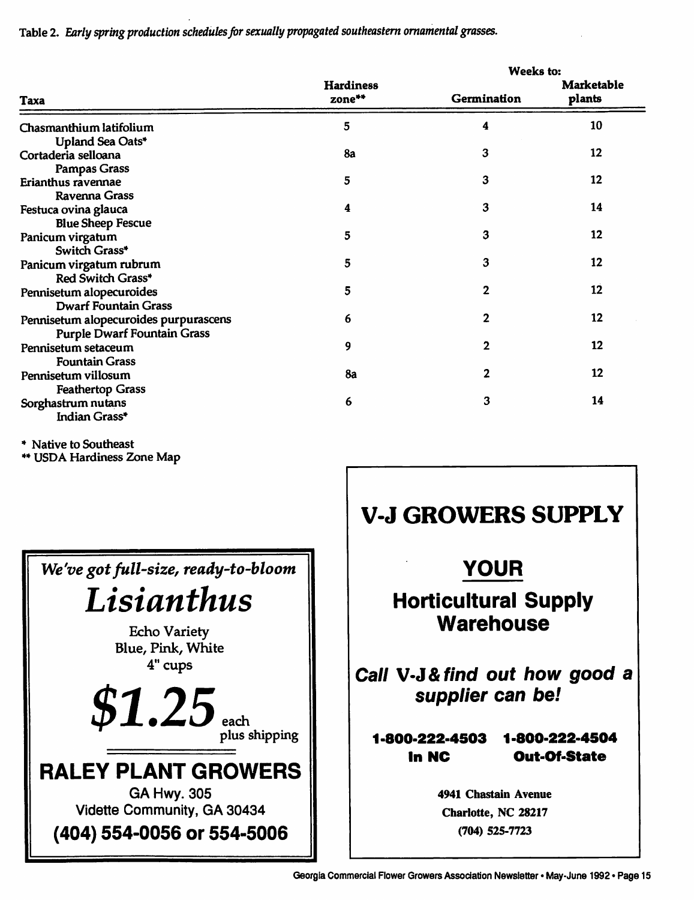*Table 2. Early spring production schedulesfor sexually propagated southeastern ornamental grasses.*

|                                       |                            | <b>Weeks to:</b> |                             |  |
|---------------------------------------|----------------------------|------------------|-----------------------------|--|
| Taxa                                  | <b>Hardiness</b><br>zone** | Germination      | <b>Marketable</b><br>plants |  |
| Chasmanthium latifolium               | 5                          | 4                | 10                          |  |
| Upland Sea Oats*                      |                            |                  |                             |  |
| Cortaderia selloana                   | 8a                         | 3                | $12 \,$                     |  |
| <b>Pampas Grass</b>                   |                            |                  |                             |  |
| Erianthus ravennae                    | 5                          | 3                | 12                          |  |
| <b>Ravenna Grass</b>                  |                            |                  |                             |  |
| Festuca ovina glauca                  | 4                          | 3                | 14                          |  |
| <b>Blue Sheep Fescue</b>              |                            |                  |                             |  |
| Panicum virgatum                      | 5                          | 3                | 12                          |  |
| Switch Grass*                         |                            |                  |                             |  |
| Panicum virgatum rubrum               | 5                          | 3                | 12                          |  |
| Red Switch Grass*                     |                            |                  |                             |  |
| Pennisetum alopecuroides              | 5                          | 2                | 12                          |  |
| <b>Dwarf Fountain Grass</b>           |                            |                  |                             |  |
| Pennisetum alopecuroides purpurascens | 6                          | $\mathbf{2}$     | 12                          |  |
| <b>Purple Dwarf Fountain Grass</b>    |                            |                  |                             |  |
| Pennisetum setaceum                   | 9                          | $\mathbf 2$      | 12                          |  |
| <b>Fountain Grass</b>                 |                            |                  |                             |  |
| Pennisetum villosum                   | 8a                         | 2                | 12                          |  |
| <b>Feathertop Grass</b>               |                            |                  |                             |  |
| Sorghastrum nutans                    | 6                          | 3                | 14                          |  |
| Indian Grass*                         |                            |                  |                             |  |

\* Native to Southeast

\*\* USDA Hardiness Zone Map



# *V-J GROWERS SUPPLY*

# *YOUR*

## *Horticultural Supply Warehouse*

*Call V-J&find out how good a supplier can be!*

### *1 -800-222-4503 1 -800-222-4504 In NC Out-Of-State*

*4941 Chastain Avenue Charlotte, NC 28217 (704) 525-7723*